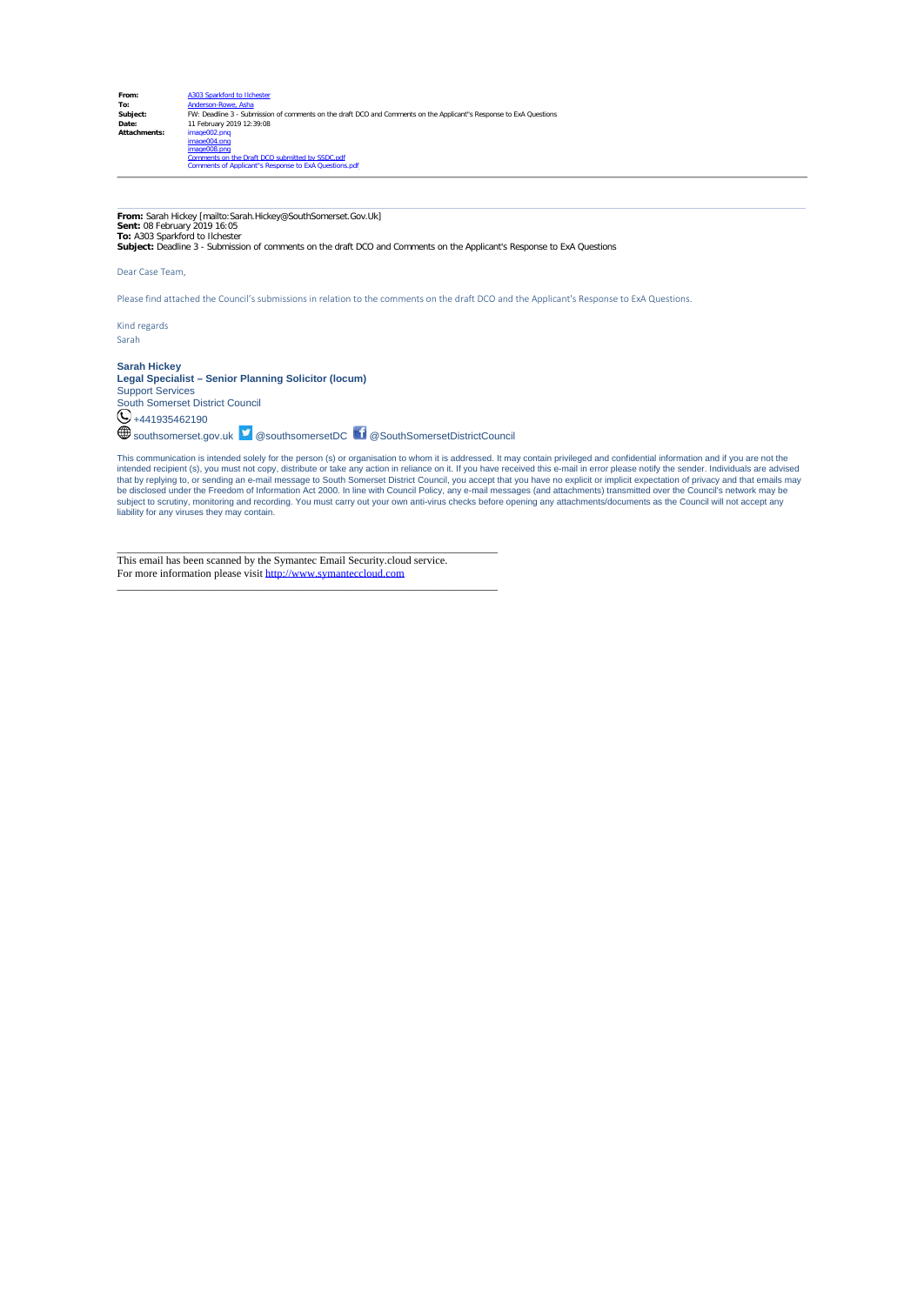**From:** Sarah Hickey [mailto:Sarah.Hickey@SouthSomerset.Gov.Uk] **Sent:** 08 February 2019 16:05 **To:** A303 Sparkford to Ilchester

**Subject:** Deadline 3 - Submission of comments on the draft DCO and Comments on the Applicant's Response to ExA Questions

Dear Case Team,

Please find attached the Council's submissions in relation to the comments on the draft DCO and the Applicant's Response to ExA Questions.

Kind regards Sarah

**Sarah Hickey Legal Specialist – Senior Planning Solicitor (locum)**

Support Services South Somerset District Council +441935462190 southsomerset.gov.uk @southsomersetDC @SouthSomersetDistrictCouncil

This communication is intended solely for the person (s) or organisation to whom it is addressed. It may contain privileged and confidential information and if you are not the<br>intended recipient (s), you must not copy, dis be disclosed under the Freedom of Information Act 2000. In line with Council Policy, any e-mail messages (and attachments) transmitted over the Council's network may be<br>subject to scrutiny, monitoring and recording. You mu liability for any viruses they may contain.

This email has been scanned by the Symantec Email Security.cloud service. For more information please visit [http://www.symanteccloud.com](http://www.symanteccloud.com/)

\_\_\_\_\_\_\_\_\_\_\_\_\_\_\_\_\_\_\_\_\_\_\_\_\_\_\_\_\_\_\_\_\_\_\_\_\_\_\_\_\_\_\_\_\_\_\_\_\_\_\_\_\_\_\_\_\_\_\_\_\_\_\_\_\_\_\_\_\_\_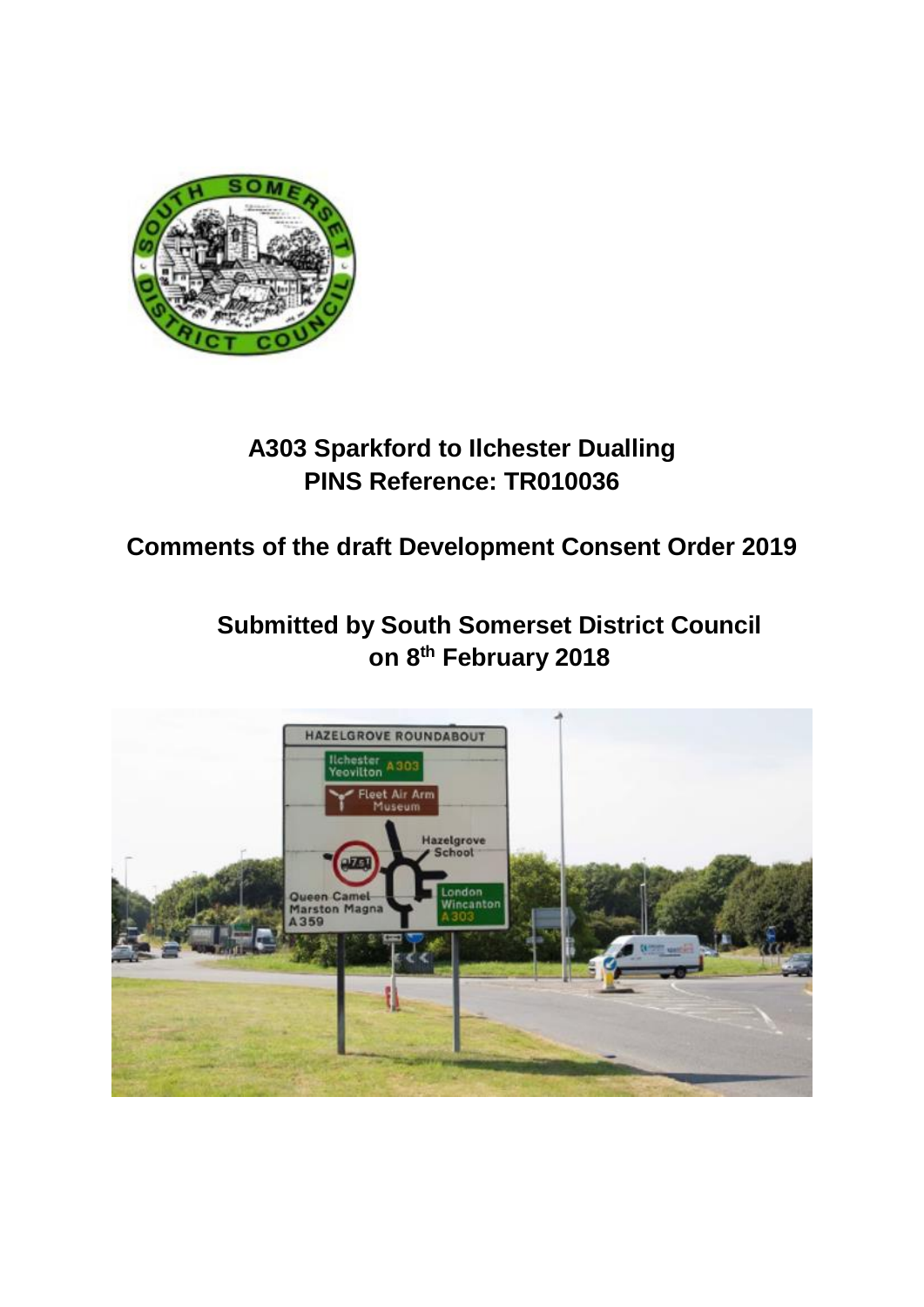

## **A303 Sparkford to Ilchester Dualling PINS Reference: TR010036**

**Comments of the draft Development Consent Order 2019**

**Submitted by South Somerset District Council on 8th February 2018**

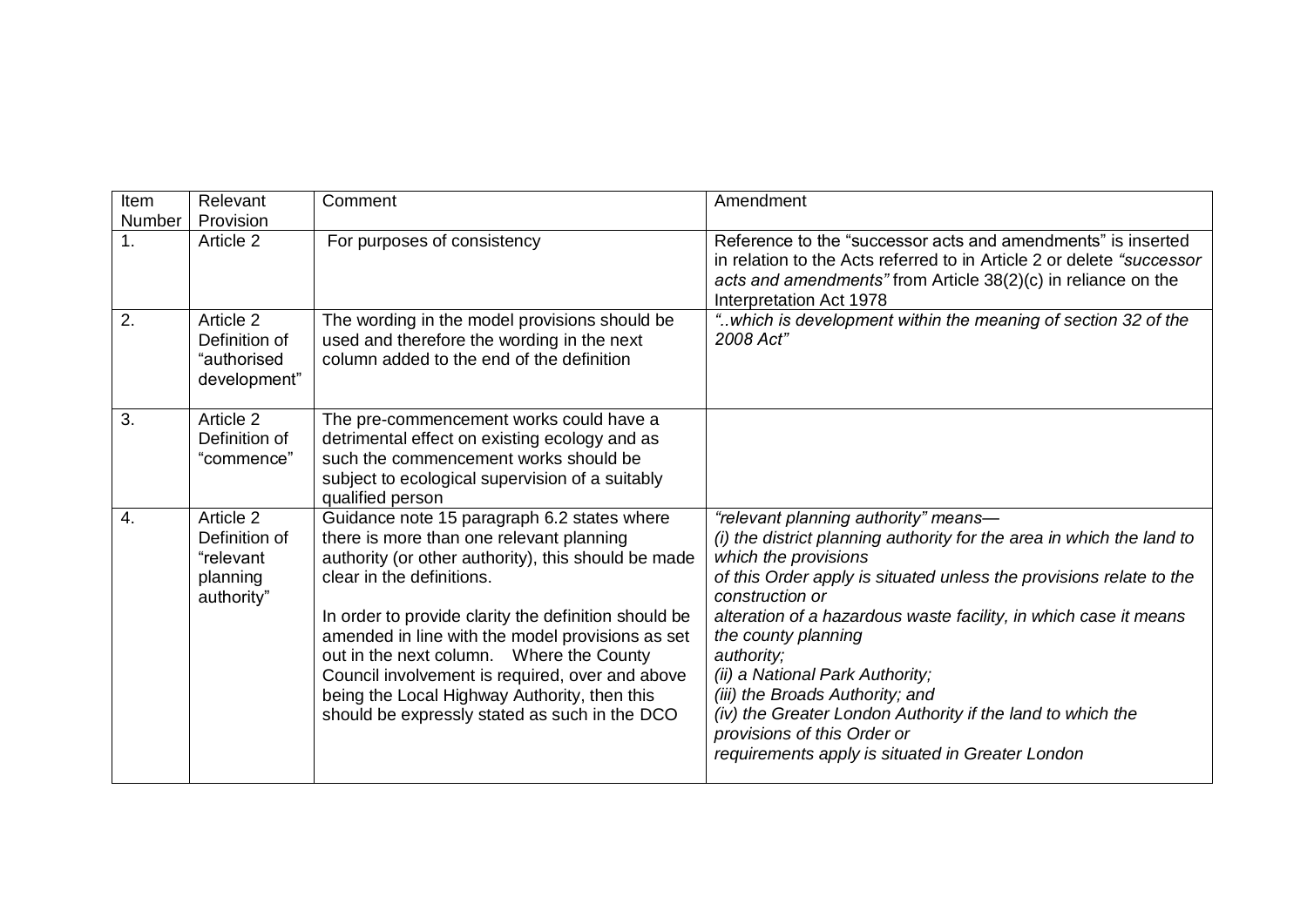| Item<br><b>Number</b> | Relevant<br>Provision                                             | Comment                                                                                                                                                                                                                                                                                                                                                                                                                                                                                  | Amendment                                                                                                                                                                                                                                                                                                                                                                                                                                                                                                                                                       |
|-----------------------|-------------------------------------------------------------------|------------------------------------------------------------------------------------------------------------------------------------------------------------------------------------------------------------------------------------------------------------------------------------------------------------------------------------------------------------------------------------------------------------------------------------------------------------------------------------------|-----------------------------------------------------------------------------------------------------------------------------------------------------------------------------------------------------------------------------------------------------------------------------------------------------------------------------------------------------------------------------------------------------------------------------------------------------------------------------------------------------------------------------------------------------------------|
| 1 <sub>1</sub>        | Article 2                                                         | For purposes of consistency                                                                                                                                                                                                                                                                                                                                                                                                                                                              | Reference to the "successor acts and amendments" is inserted<br>in relation to the Acts referred to in Article 2 or delete "successor<br>acts and amendments" from Article $38(2)(c)$ in reliance on the<br>Interpretation Act 1978                                                                                                                                                                                                                                                                                                                             |
| 2.                    | Article 2<br>Definition of<br>"authorised<br>development"         | The wording in the model provisions should be<br>used and therefore the wording in the next<br>column added to the end of the definition                                                                                                                                                                                                                                                                                                                                                 | "which is development within the meaning of section 32 of the<br>2008 Act"                                                                                                                                                                                                                                                                                                                                                                                                                                                                                      |
| 3.                    | Article 2<br>Definition of<br>"commence"                          | The pre-commencement works could have a<br>detrimental effect on existing ecology and as<br>such the commencement works should be<br>subject to ecological supervision of a suitably<br>qualified person                                                                                                                                                                                                                                                                                 |                                                                                                                                                                                                                                                                                                                                                                                                                                                                                                                                                                 |
| $\overline{4}$ .      | Article 2<br>Definition of<br>"relevant<br>planning<br>authority" | Guidance note 15 paragraph 6.2 states where<br>there is more than one relevant planning<br>authority (or other authority), this should be made<br>clear in the definitions.<br>In order to provide clarity the definition should be<br>amended in line with the model provisions as set<br>out in the next column.  Where the County<br>Council involvement is required, over and above<br>being the Local Highway Authority, then this<br>should be expressly stated as such in the DCO | "relevant planning authority" means-<br>(i) the district planning authority for the area in which the land to<br>which the provisions<br>of this Order apply is situated unless the provisions relate to the<br>construction or<br>alteration of a hazardous waste facility, in which case it means<br>the county planning<br>authority;<br>(ii) a National Park Authority;<br>(iii) the Broads Authority; and<br>(iv) the Greater London Authority if the land to which the<br>provisions of this Order or<br>requirements apply is situated in Greater London |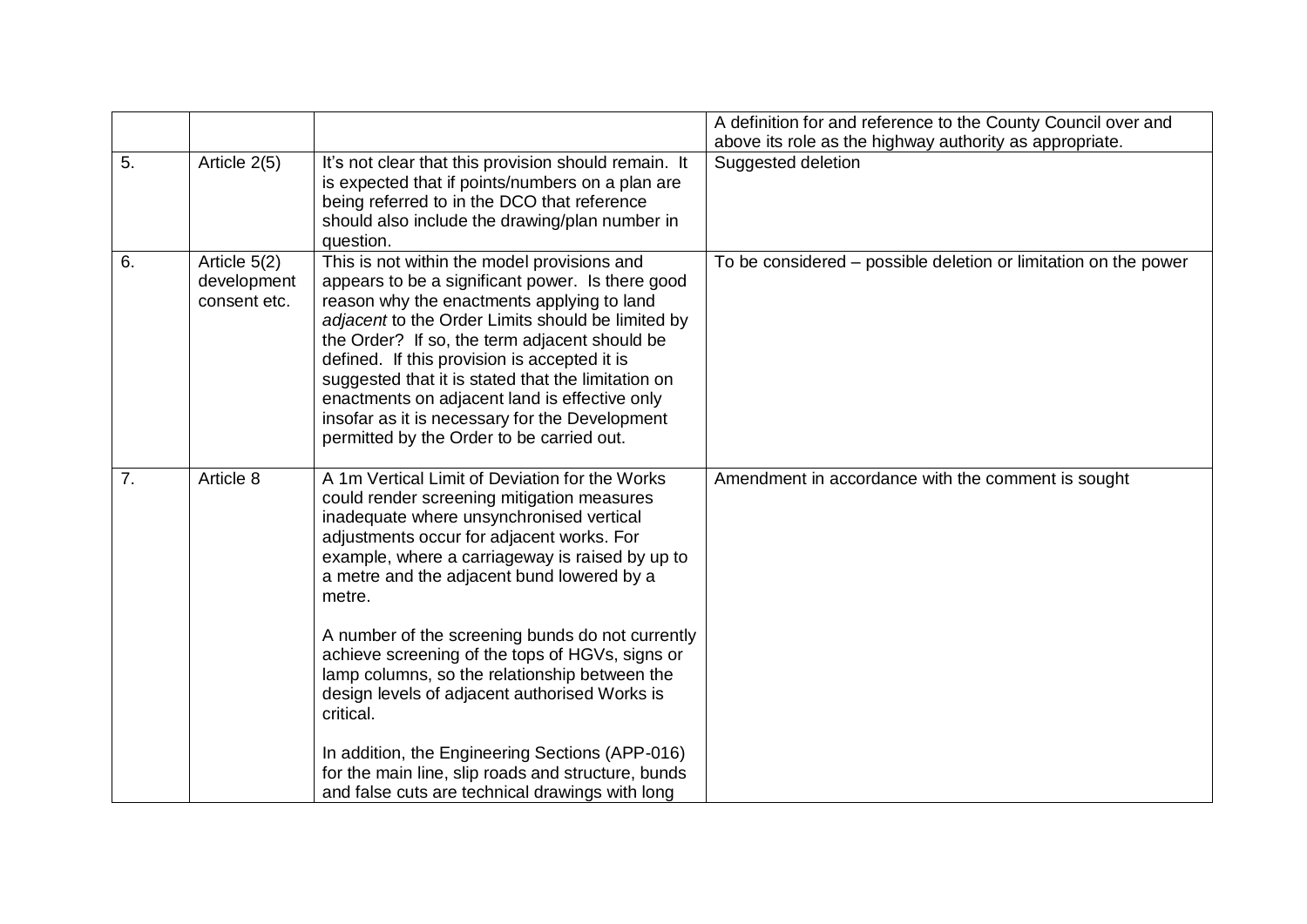|    |                                             |                                                                                                                                                                                                                                                                                                                                                                                                                                                                                                                                                                                                                                 | A definition for and reference to the County Council over and   |
|----|---------------------------------------------|---------------------------------------------------------------------------------------------------------------------------------------------------------------------------------------------------------------------------------------------------------------------------------------------------------------------------------------------------------------------------------------------------------------------------------------------------------------------------------------------------------------------------------------------------------------------------------------------------------------------------------|-----------------------------------------------------------------|
|    |                                             |                                                                                                                                                                                                                                                                                                                                                                                                                                                                                                                                                                                                                                 | above its role as the highway authority as appropriate.         |
| 5. | Article 2(5)                                | It's not clear that this provision should remain. It<br>is expected that if points/numbers on a plan are<br>being referred to in the DCO that reference<br>should also include the drawing/plan number in<br>question.                                                                                                                                                                                                                                                                                                                                                                                                          | Suggested deletion                                              |
| 6. | Article 5(2)<br>development<br>consent etc. | This is not within the model provisions and<br>appears to be a significant power. Is there good<br>reason why the enactments applying to land<br>adjacent to the Order Limits should be limited by<br>the Order? If so, the term adjacent should be<br>defined. If this provision is accepted it is<br>suggested that it is stated that the limitation on<br>enactments on adjacent land is effective only<br>insofar as it is necessary for the Development<br>permitted by the Order to be carried out.                                                                                                                       | To be considered – possible deletion or limitation on the power |
| 7. | Article 8                                   | A 1m Vertical Limit of Deviation for the Works<br>could render screening mitigation measures<br>inadequate where unsynchronised vertical<br>adjustments occur for adjacent works. For<br>example, where a carriageway is raised by up to<br>a metre and the adjacent bund lowered by a<br>metre.<br>A number of the screening bunds do not currently<br>achieve screening of the tops of HGVs, signs or<br>lamp columns, so the relationship between the<br>design levels of adjacent authorised Works is<br>critical.<br>In addition, the Engineering Sections (APP-016)<br>for the main line, slip roads and structure, bunds | Amendment in accordance with the comment is sought              |
|    |                                             | and false cuts are technical drawings with long                                                                                                                                                                                                                                                                                                                                                                                                                                                                                                                                                                                 |                                                                 |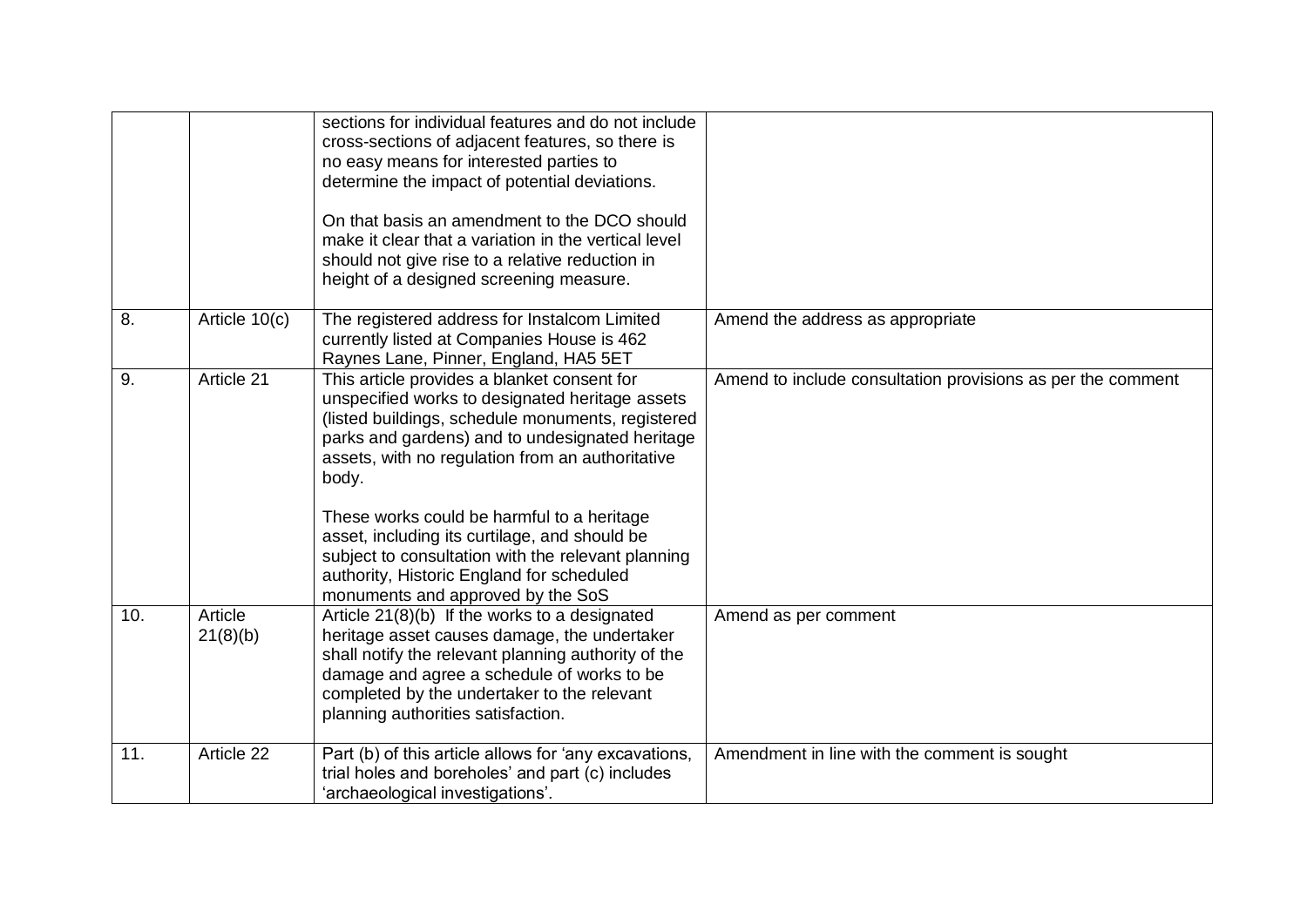|     |                     | sections for individual features and do not include<br>cross-sections of adjacent features, so there is<br>no easy means for interested parties to<br>determine the impact of potential deviations.<br>On that basis an amendment to the DCO should<br>make it clear that a variation in the vertical level<br>should not give rise to a relative reduction in<br>height of a designed screening measure.                                                                                                  |                                                             |
|-----|---------------------|------------------------------------------------------------------------------------------------------------------------------------------------------------------------------------------------------------------------------------------------------------------------------------------------------------------------------------------------------------------------------------------------------------------------------------------------------------------------------------------------------------|-------------------------------------------------------------|
| 8.  | Article 10(c)       | The registered address for Instalcom Limited<br>currently listed at Companies House is 462<br>Raynes Lane, Pinner, England, HA5 5ET                                                                                                                                                                                                                                                                                                                                                                        | Amend the address as appropriate                            |
| 9.  | Article 21          | This article provides a blanket consent for<br>unspecified works to designated heritage assets<br>(listed buildings, schedule monuments, registered<br>parks and gardens) and to undesignated heritage<br>assets, with no regulation from an authoritative<br>body.<br>These works could be harmful to a heritage<br>asset, including its curtilage, and should be<br>subject to consultation with the relevant planning<br>authority, Historic England for scheduled<br>monuments and approved by the SoS | Amend to include consultation provisions as per the comment |
| 10. | Article<br>21(8)(b) | Article 21(8)(b) If the works to a designated<br>heritage asset causes damage, the undertaker<br>shall notify the relevant planning authority of the<br>damage and agree a schedule of works to be<br>completed by the undertaker to the relevant<br>planning authorities satisfaction.                                                                                                                                                                                                                    | Amend as per comment                                        |
| 11. | Article 22          | Part (b) of this article allows for 'any excavations,<br>trial holes and boreholes' and part (c) includes<br>'archaeological investigations'.                                                                                                                                                                                                                                                                                                                                                              | Amendment in line with the comment is sought                |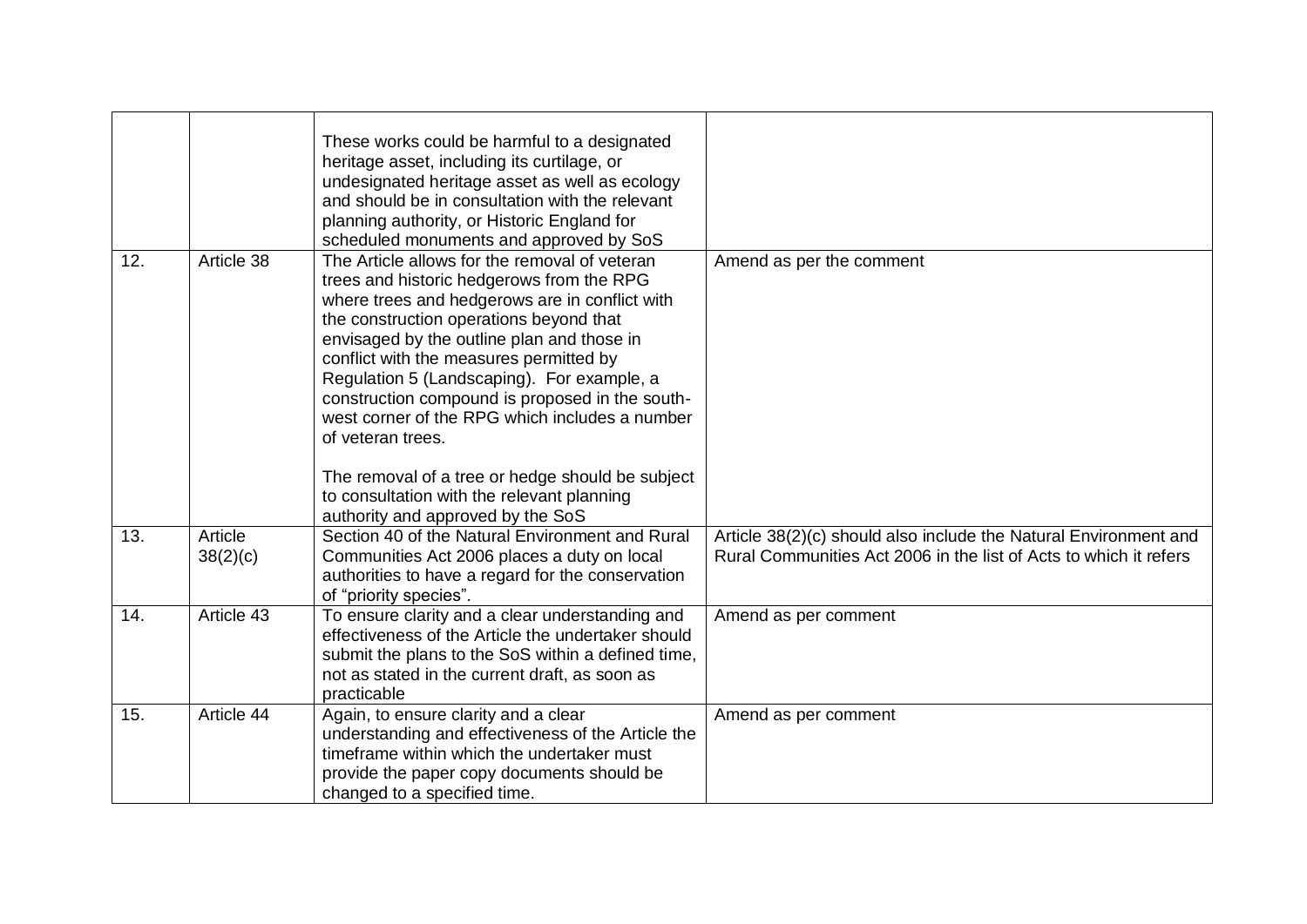|     |                     | These works could be harmful to a designated<br>heritage asset, including its curtilage, or<br>undesignated heritage asset as well as ecology<br>and should be in consultation with the relevant<br>planning authority, or Historic England for<br>scheduled monuments and approved by SoS                                                                                                                                                                                                                                                                                                      |                                                                                                                                       |
|-----|---------------------|-------------------------------------------------------------------------------------------------------------------------------------------------------------------------------------------------------------------------------------------------------------------------------------------------------------------------------------------------------------------------------------------------------------------------------------------------------------------------------------------------------------------------------------------------------------------------------------------------|---------------------------------------------------------------------------------------------------------------------------------------|
| 12. | Article 38          | The Article allows for the removal of veteran<br>trees and historic hedgerows from the RPG<br>where trees and hedgerows are in conflict with<br>the construction operations beyond that<br>envisaged by the outline plan and those in<br>conflict with the measures permitted by<br>Regulation 5 (Landscaping). For example, a<br>construction compound is proposed in the south-<br>west corner of the RPG which includes a number<br>of veteran trees.<br>The removal of a tree or hedge should be subject<br>to consultation with the relevant planning<br>authority and approved by the SoS | Amend as per the comment                                                                                                              |
| 13. | Article<br>38(2)(c) | Section 40 of the Natural Environment and Rural<br>Communities Act 2006 places a duty on local<br>authorities to have a regard for the conservation<br>of "priority species".                                                                                                                                                                                                                                                                                                                                                                                                                   | Article 38(2)(c) should also include the Natural Environment and<br>Rural Communities Act 2006 in the list of Acts to which it refers |
| 14. | Article 43          | To ensure clarity and a clear understanding and<br>effectiveness of the Article the undertaker should<br>submit the plans to the SoS within a defined time,<br>not as stated in the current draft, as soon as<br>practicable                                                                                                                                                                                                                                                                                                                                                                    | Amend as per comment                                                                                                                  |
| 15. | Article 44          | Again, to ensure clarity and a clear<br>understanding and effectiveness of the Article the<br>timeframe within which the undertaker must<br>provide the paper copy documents should be<br>changed to a specified time.                                                                                                                                                                                                                                                                                                                                                                          | Amend as per comment                                                                                                                  |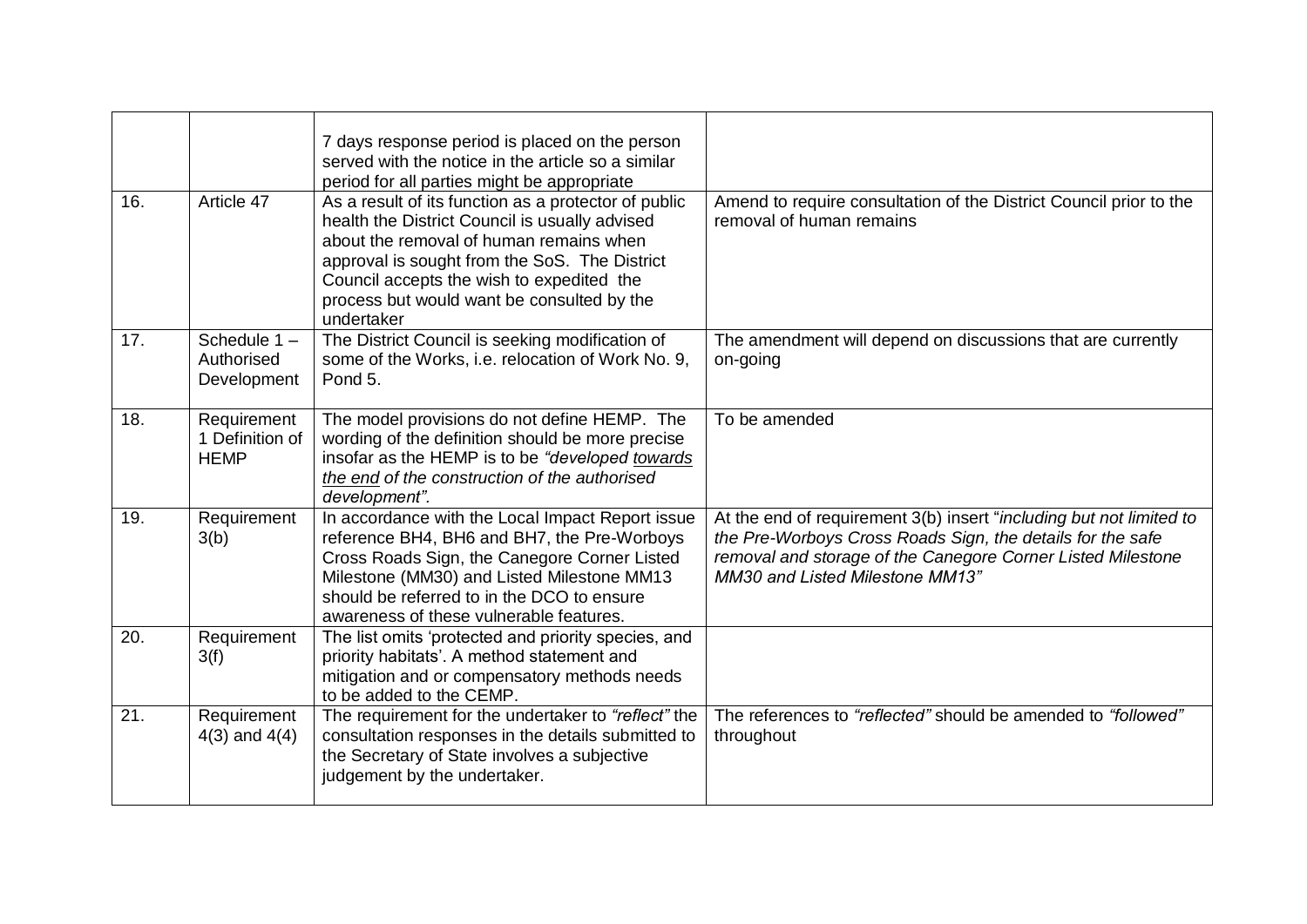| 16. | Article 47                                    | 7 days response period is placed on the person<br>served with the notice in the article so a similar<br>period for all parties might be appropriate                                                                                                                                                         |                                                                                                                                                                                                                                     |
|-----|-----------------------------------------------|-------------------------------------------------------------------------------------------------------------------------------------------------------------------------------------------------------------------------------------------------------------------------------------------------------------|-------------------------------------------------------------------------------------------------------------------------------------------------------------------------------------------------------------------------------------|
|     |                                               | As a result of its function as a protector of public<br>health the District Council is usually advised<br>about the removal of human remains when<br>approval is sought from the SoS. The District<br>Council accepts the wish to expedited the<br>process but would want be consulted by the<br>undertaker | Amend to require consultation of the District Council prior to the<br>removal of human remains                                                                                                                                      |
| 17. | Schedule 1-<br>Authorised<br>Development      | The District Council is seeking modification of<br>some of the Works, i.e. relocation of Work No. 9,<br>Pond 5.                                                                                                                                                                                             | The amendment will depend on discussions that are currently<br>on-going                                                                                                                                                             |
| 18. | Requirement<br>1 Definition of<br><b>HEMP</b> | The model provisions do not define HEMP. The<br>wording of the definition should be more precise<br>insofar as the HEMP is to be "developed towards<br>the end of the construction of the authorised<br>development".                                                                                       | To be amended                                                                                                                                                                                                                       |
| 19. | Requirement<br>3(b)                           | In accordance with the Local Impact Report issue<br>reference BH4, BH6 and BH7, the Pre-Worboys<br>Cross Roads Sign, the Canegore Corner Listed<br>Milestone (MM30) and Listed Milestone MM13<br>should be referred to in the DCO to ensure<br>awareness of these vulnerable features.                      | At the end of requirement 3(b) insert "including but not limited to<br>the Pre-Worboys Cross Roads Sign, the details for the safe<br>removal and storage of the Canegore Corner Listed Milestone<br>MM30 and Listed Milestone MM13" |
| 20. | Requirement<br>3(f)                           | The list omits 'protected and priority species, and<br>priority habitats'. A method statement and<br>mitigation and or compensatory methods needs<br>to be added to the CEMP.                                                                                                                               |                                                                                                                                                                                                                                     |
| 21. | Requirement<br>$4(3)$ and $4(4)$              | The requirement for the undertaker to "reflect" the<br>consultation responses in the details submitted to<br>the Secretary of State involves a subjective<br>judgement by the undertaker.                                                                                                                   | The references to "reflected" should be amended to "followed"<br>throughout                                                                                                                                                         |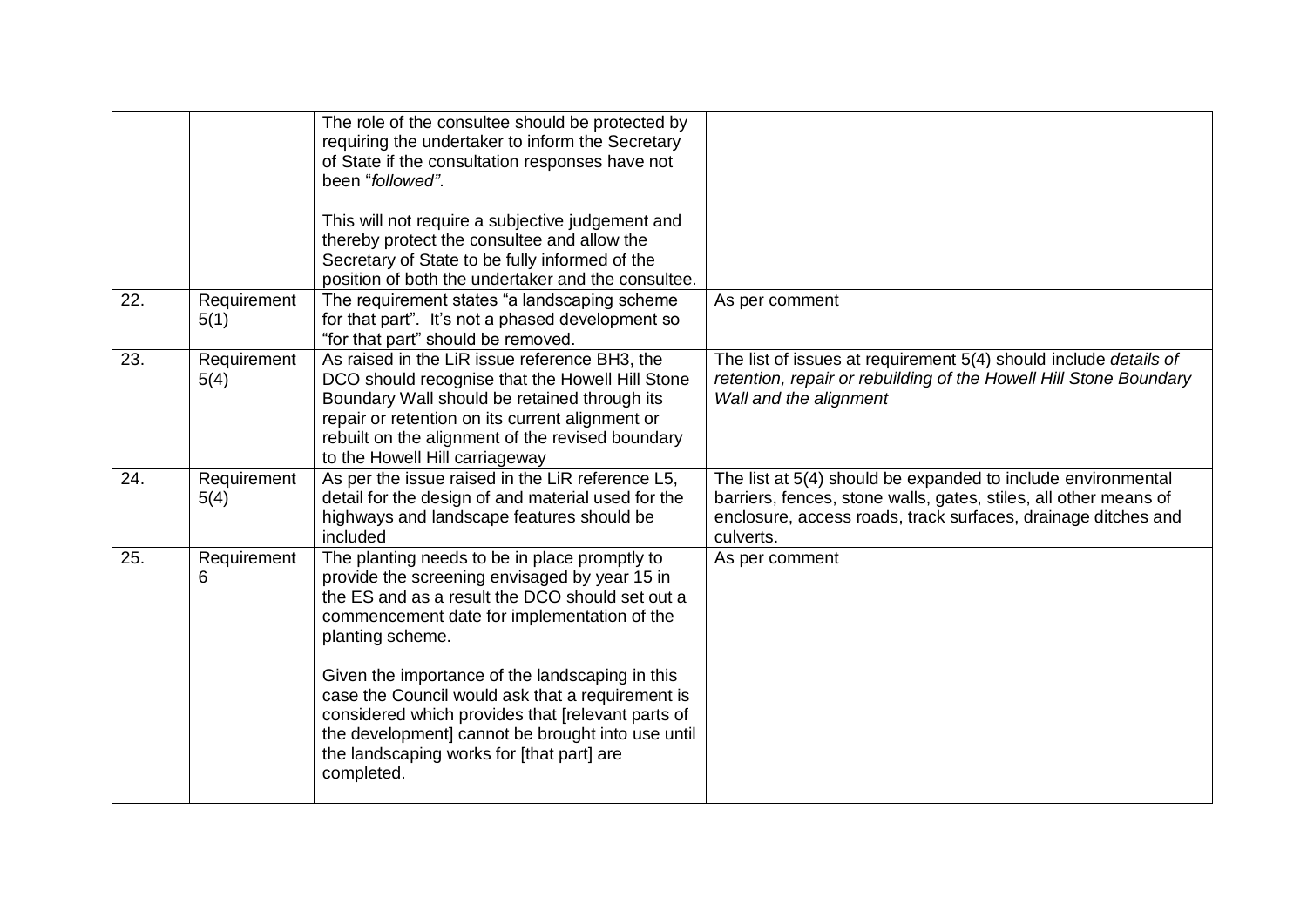|     |                     | The role of the consultee should be protected by<br>requiring the undertaker to inform the Secretary<br>of State if the consultation responses have not<br>been "followed".<br>This will not require a subjective judgement and<br>thereby protect the consultee and allow the<br>Secretary of State to be fully informed of the<br>position of both the undertaker and the consultee.                                                                                                           |                                                                                                                                                                                                                |
|-----|---------------------|--------------------------------------------------------------------------------------------------------------------------------------------------------------------------------------------------------------------------------------------------------------------------------------------------------------------------------------------------------------------------------------------------------------------------------------------------------------------------------------------------|----------------------------------------------------------------------------------------------------------------------------------------------------------------------------------------------------------------|
| 22. | Requirement<br>5(1) | The requirement states "a landscaping scheme<br>for that part". It's not a phased development so<br>"for that part" should be removed.                                                                                                                                                                                                                                                                                                                                                           | As per comment                                                                                                                                                                                                 |
| 23. | Requirement<br>5(4) | As raised in the LiR issue reference BH3, the<br>DCO should recognise that the Howell Hill Stone<br>Boundary Wall should be retained through its<br>repair or retention on its current alignment or<br>rebuilt on the alignment of the revised boundary<br>to the Howell Hill carriageway                                                                                                                                                                                                        | The list of issues at requirement 5(4) should include details of<br>retention, repair or rebuilding of the Howell Hill Stone Boundary<br>Wall and the alignment                                                |
| 24. | Requirement<br>5(4) | As per the issue raised in the LiR reference L5,<br>detail for the design of and material used for the<br>highways and landscape features should be<br>included                                                                                                                                                                                                                                                                                                                                  | The list at 5(4) should be expanded to include environmental<br>barriers, fences, stone walls, gates, stiles, all other means of<br>enclosure, access roads, track surfaces, drainage ditches and<br>culverts. |
| 25. | Requirement<br>6    | The planting needs to be in place promptly to<br>provide the screening envisaged by year 15 in<br>the ES and as a result the DCO should set out a<br>commencement date for implementation of the<br>planting scheme.<br>Given the importance of the landscaping in this<br>case the Council would ask that a requirement is<br>considered which provides that [relevant parts of<br>the development] cannot be brought into use until<br>the landscaping works for [that part] are<br>completed. | As per comment                                                                                                                                                                                                 |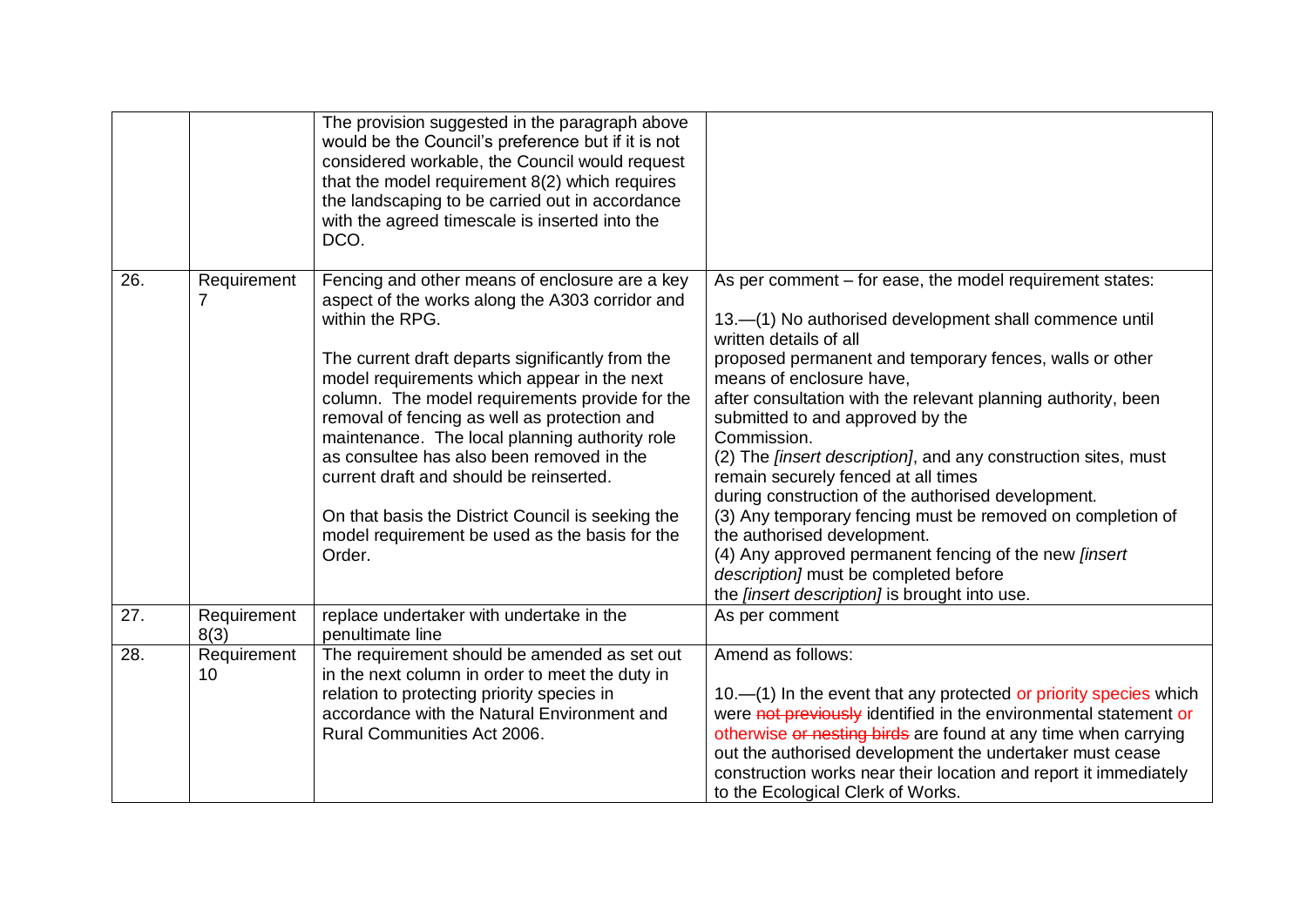|     |                     | The provision suggested in the paragraph above<br>would be the Council's preference but if it is not<br>considered workable, the Council would request<br>that the model requirement 8(2) which requires<br>the landscaping to be carried out in accordance<br>with the agreed timescale is inserted into the<br>DCO.                                                                                                                                                                                                                                                                |                                                                                                                                                                                                                                                                                                                                                                                                                                                                                                                                                                                                                                                                                                                                                                                |
|-----|---------------------|--------------------------------------------------------------------------------------------------------------------------------------------------------------------------------------------------------------------------------------------------------------------------------------------------------------------------------------------------------------------------------------------------------------------------------------------------------------------------------------------------------------------------------------------------------------------------------------|--------------------------------------------------------------------------------------------------------------------------------------------------------------------------------------------------------------------------------------------------------------------------------------------------------------------------------------------------------------------------------------------------------------------------------------------------------------------------------------------------------------------------------------------------------------------------------------------------------------------------------------------------------------------------------------------------------------------------------------------------------------------------------|
| 26. | Requirement         | Fencing and other means of enclosure are a key<br>aspect of the works along the A303 corridor and<br>within the RPG.<br>The current draft departs significantly from the<br>model requirements which appear in the next<br>column. The model requirements provide for the<br>removal of fencing as well as protection and<br>maintenance. The local planning authority role<br>as consultee has also been removed in the<br>current draft and should be reinserted.<br>On that basis the District Council is seeking the<br>model requirement be used as the basis for the<br>Order. | As per comment – for ease, the model requirement states:<br>13.-(1) No authorised development shall commence until<br>written details of all<br>proposed permanent and temporary fences, walls or other<br>means of enclosure have,<br>after consultation with the relevant planning authority, been<br>submitted to and approved by the<br>Commission.<br>(2) The <i>[insert description]</i> , and any construction sites, must<br>remain securely fenced at all times<br>during construction of the authorised development.<br>(3) Any temporary fencing must be removed on completion of<br>the authorised development.<br>(4) Any approved permanent fencing of the new [insert<br>description] must be completed before<br>the [insert description] is brought into use. |
| 27. | Requirement<br>8(3) | replace undertaker with undertake in the<br>penultimate line                                                                                                                                                                                                                                                                                                                                                                                                                                                                                                                         | As per comment                                                                                                                                                                                                                                                                                                                                                                                                                                                                                                                                                                                                                                                                                                                                                                 |
| 28. | Requirement<br>10   | The requirement should be amended as set out<br>in the next column in order to meet the duty in<br>relation to protecting priority species in<br>accordance with the Natural Environment and<br>Rural Communities Act 2006.                                                                                                                                                                                                                                                                                                                                                          | Amend as follows:<br>10. - (1) In the event that any protected or priority species which<br>were not previously identified in the environmental statement or<br>otherwise or nesting birds are found at any time when carrying<br>out the authorised development the undertaker must cease<br>construction works near their location and report it immediately<br>to the Ecological Clerk of Works.                                                                                                                                                                                                                                                                                                                                                                            |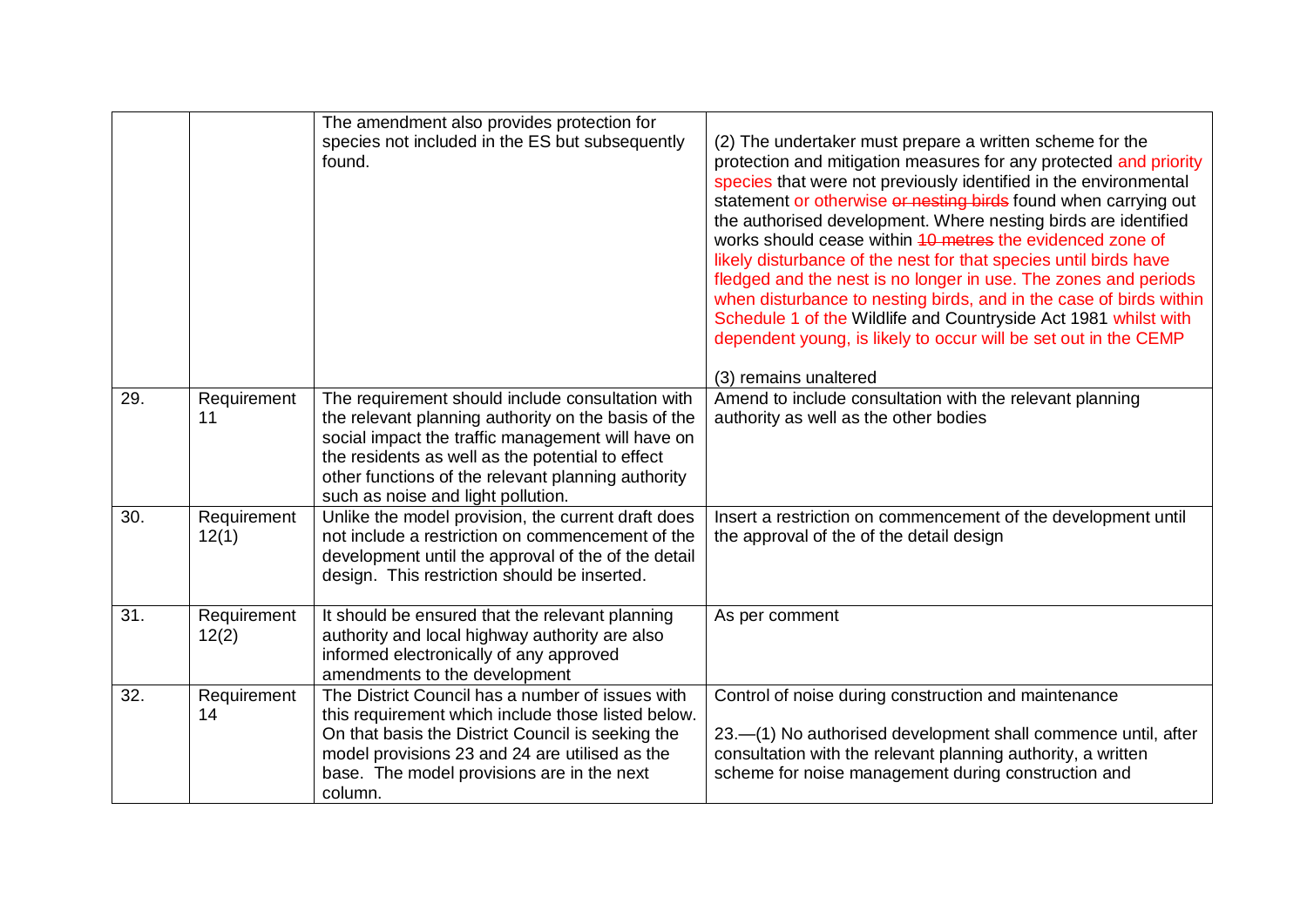|     |                      | The amendment also provides protection for<br>species not included in the ES but subsequently<br>found.                                                                                                                                                                                                      | (2) The undertaker must prepare a written scheme for the<br>protection and mitigation measures for any protected and priority<br>species that were not previously identified in the environmental<br>statement or otherwise or nesting birds found when carrying out<br>the authorised development. Where nesting birds are identified<br>works should cease within 40 metres the evidenced zone of<br>likely disturbance of the nest for that species until birds have<br>fledged and the nest is no longer in use. The zones and periods<br>when disturbance to nesting birds, and in the case of birds within<br>Schedule 1 of the Wildlife and Countryside Act 1981 whilst with<br>dependent young, is likely to occur will be set out in the CEMP<br>(3) remains unaltered |
|-----|----------------------|--------------------------------------------------------------------------------------------------------------------------------------------------------------------------------------------------------------------------------------------------------------------------------------------------------------|---------------------------------------------------------------------------------------------------------------------------------------------------------------------------------------------------------------------------------------------------------------------------------------------------------------------------------------------------------------------------------------------------------------------------------------------------------------------------------------------------------------------------------------------------------------------------------------------------------------------------------------------------------------------------------------------------------------------------------------------------------------------------------|
| 29. | Requirement<br>11    | The requirement should include consultation with<br>the relevant planning authority on the basis of the<br>social impact the traffic management will have on<br>the residents as well as the potential to effect<br>other functions of the relevant planning authority<br>such as noise and light pollution. | Amend to include consultation with the relevant planning<br>authority as well as the other bodies                                                                                                                                                                                                                                                                                                                                                                                                                                                                                                                                                                                                                                                                               |
| 30. | Requirement<br>12(1) | Unlike the model provision, the current draft does<br>not include a restriction on commencement of the<br>development until the approval of the of the detail<br>design. This restriction should be inserted.                                                                                                | Insert a restriction on commencement of the development until<br>the approval of the of the detail design                                                                                                                                                                                                                                                                                                                                                                                                                                                                                                                                                                                                                                                                       |
| 31. | Requirement<br>12(2) | It should be ensured that the relevant planning<br>authority and local highway authority are also<br>informed electronically of any approved<br>amendments to the development                                                                                                                                | As per comment                                                                                                                                                                                                                                                                                                                                                                                                                                                                                                                                                                                                                                                                                                                                                                  |
| 32. | Requirement<br>14    | The District Council has a number of issues with<br>this requirement which include those listed below.<br>On that basis the District Council is seeking the<br>model provisions 23 and 24 are utilised as the<br>base. The model provisions are in the next<br>column.                                       | Control of noise during construction and maintenance<br>23.-(1) No authorised development shall commence until, after<br>consultation with the relevant planning authority, a written<br>scheme for noise management during construction and                                                                                                                                                                                                                                                                                                                                                                                                                                                                                                                                    |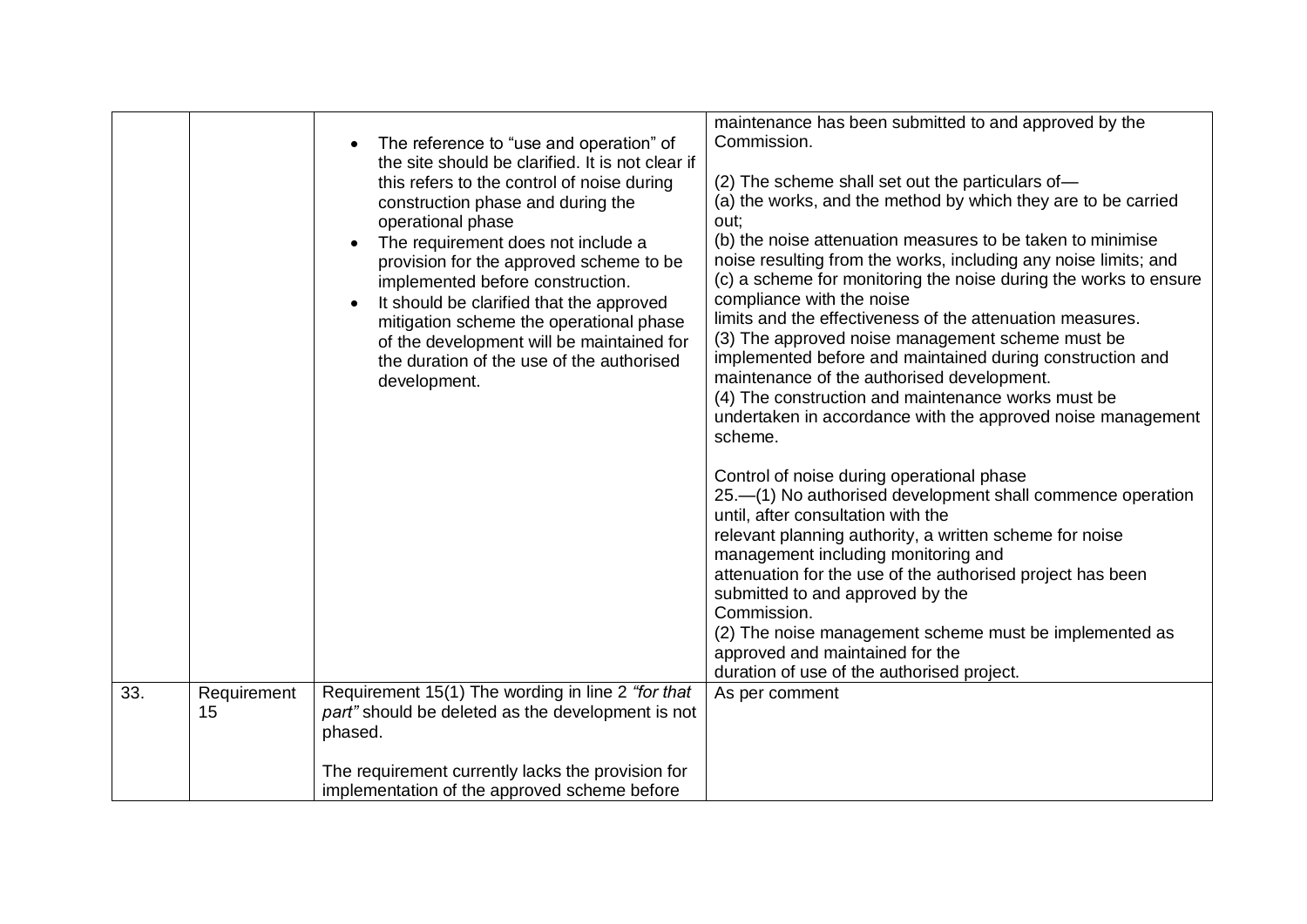| part" should be deleted as the development is not<br>15<br>phased.                                |     |             | The reference to "use and operation" of<br>the site should be clarified. It is not clear if<br>this refers to the control of noise during<br>construction phase and during the<br>operational phase<br>The requirement does not include a<br>provision for the approved scheme to be<br>implemented before construction.<br>It should be clarified that the approved<br>mitigation scheme the operational phase<br>of the development will be maintained for<br>the duration of the use of the authorised<br>development. | maintenance has been submitted to and approved by the<br>Commission.<br>(2) The scheme shall set out the particulars of-<br>(a) the works, and the method by which they are to be carried<br>out;<br>(b) the noise attenuation measures to be taken to minimise<br>noise resulting from the works, including any noise limits; and<br>(c) a scheme for monitoring the noise during the works to ensure<br>compliance with the noise<br>limits and the effectiveness of the attenuation measures.<br>(3) The approved noise management scheme must be<br>implemented before and maintained during construction and<br>maintenance of the authorised development.<br>(4) The construction and maintenance works must be<br>undertaken in accordance with the approved noise management<br>scheme.<br>Control of noise during operational phase<br>25.-(1) No authorised development shall commence operation<br>until, after consultation with the<br>relevant planning authority, a written scheme for noise<br>management including monitoring and<br>attenuation for the use of the authorised project has been<br>submitted to and approved by the<br>Commission.<br>(2) The noise management scheme must be implemented as<br>approved and maintained for the<br>duration of use of the authorised project. |
|---------------------------------------------------------------------------------------------------|-----|-------------|---------------------------------------------------------------------------------------------------------------------------------------------------------------------------------------------------------------------------------------------------------------------------------------------------------------------------------------------------------------------------------------------------------------------------------------------------------------------------------------------------------------------------|----------------------------------------------------------------------------------------------------------------------------------------------------------------------------------------------------------------------------------------------------------------------------------------------------------------------------------------------------------------------------------------------------------------------------------------------------------------------------------------------------------------------------------------------------------------------------------------------------------------------------------------------------------------------------------------------------------------------------------------------------------------------------------------------------------------------------------------------------------------------------------------------------------------------------------------------------------------------------------------------------------------------------------------------------------------------------------------------------------------------------------------------------------------------------------------------------------------------------------------------------------------------------------------------------------------|
| The requirement currently lacks the provision for<br>implementation of the approved scheme before | 33. | Requirement | Requirement 15(1) The wording in line 2 "for that                                                                                                                                                                                                                                                                                                                                                                                                                                                                         | As per comment                                                                                                                                                                                                                                                                                                                                                                                                                                                                                                                                                                                                                                                                                                                                                                                                                                                                                                                                                                                                                                                                                                                                                                                                                                                                                                 |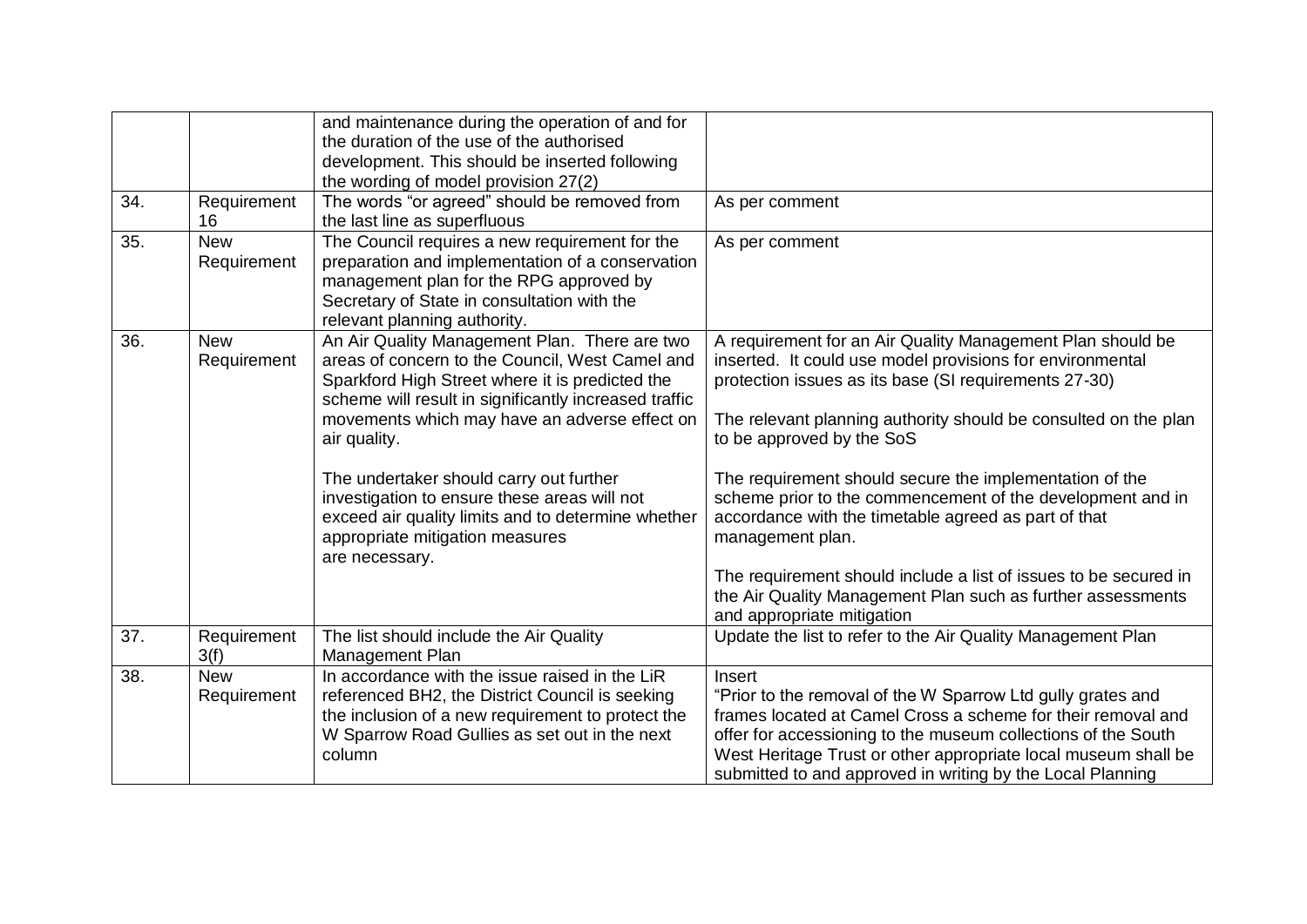| 34. | Requirement<br>16         | and maintenance during the operation of and for<br>the duration of the use of the authorised<br>development. This should be inserted following<br>the wording of model provision 27(2)<br>The words "or agreed" should be removed from<br>the last line as superfluous                                                                                                                                                                                                              | As per comment                                                                                                                                                                                                                                                                                                                                                                                                                                                                                                                                                                                                                                         |
|-----|---------------------------|-------------------------------------------------------------------------------------------------------------------------------------------------------------------------------------------------------------------------------------------------------------------------------------------------------------------------------------------------------------------------------------------------------------------------------------------------------------------------------------|--------------------------------------------------------------------------------------------------------------------------------------------------------------------------------------------------------------------------------------------------------------------------------------------------------------------------------------------------------------------------------------------------------------------------------------------------------------------------------------------------------------------------------------------------------------------------------------------------------------------------------------------------------|
| 35. | <b>New</b><br>Requirement | The Council requires a new requirement for the<br>preparation and implementation of a conservation<br>management plan for the RPG approved by<br>Secretary of State in consultation with the<br>relevant planning authority.                                                                                                                                                                                                                                                        | As per comment                                                                                                                                                                                                                                                                                                                                                                                                                                                                                                                                                                                                                                         |
| 36. | <b>New</b><br>Requirement | An Air Quality Management Plan. There are two<br>areas of concern to the Council, West Camel and<br>Sparkford High Street where it is predicted the<br>scheme will result in significantly increased traffic<br>movements which may have an adverse effect on<br>air quality.<br>The undertaker should carry out further<br>investigation to ensure these areas will not<br>exceed air quality limits and to determine whether<br>appropriate mitigation measures<br>are necessary. | A requirement for an Air Quality Management Plan should be<br>inserted. It could use model provisions for environmental<br>protection issues as its base (SI requirements 27-30)<br>The relevant planning authority should be consulted on the plan<br>to be approved by the SoS<br>The requirement should secure the implementation of the<br>scheme prior to the commencement of the development and in<br>accordance with the timetable agreed as part of that<br>management plan.<br>The requirement should include a list of issues to be secured in<br>the Air Quality Management Plan such as further assessments<br>and appropriate mitigation |
| 37. | Requirement<br>3(f)       | The list should include the Air Quality<br>Management Plan                                                                                                                                                                                                                                                                                                                                                                                                                          | Update the list to refer to the Air Quality Management Plan                                                                                                                                                                                                                                                                                                                                                                                                                                                                                                                                                                                            |
| 38. | <b>New</b><br>Requirement | In accordance with the issue raised in the LiR<br>referenced BH2, the District Council is seeking<br>the inclusion of a new requirement to protect the<br>W Sparrow Road Gullies as set out in the next<br>column                                                                                                                                                                                                                                                                   | Insert<br>"Prior to the removal of the W Sparrow Ltd gully grates and<br>frames located at Camel Cross a scheme for their removal and<br>offer for accessioning to the museum collections of the South<br>West Heritage Trust or other appropriate local museum shall be<br>submitted to and approved in writing by the Local Planning                                                                                                                                                                                                                                                                                                                 |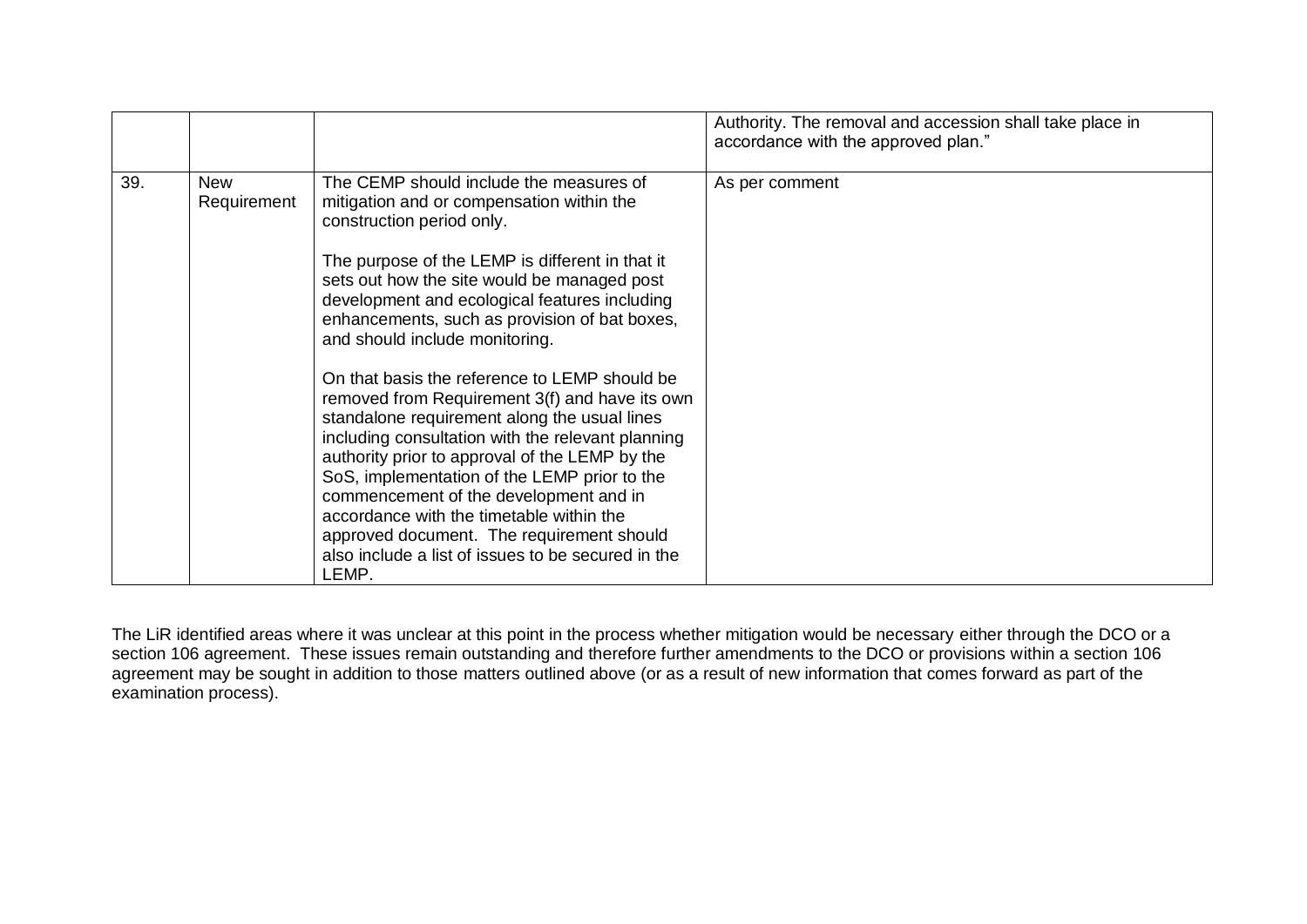|     |                    |                                                                                                                                                                                                                                                                                                                                                                                                                                                                                                                                                                                                                                                                                                                                                                                                                                                                     | Authority. The removal and accession shall take place in<br>accordance with the approved plan." |
|-----|--------------------|---------------------------------------------------------------------------------------------------------------------------------------------------------------------------------------------------------------------------------------------------------------------------------------------------------------------------------------------------------------------------------------------------------------------------------------------------------------------------------------------------------------------------------------------------------------------------------------------------------------------------------------------------------------------------------------------------------------------------------------------------------------------------------------------------------------------------------------------------------------------|-------------------------------------------------------------------------------------------------|
| 39. | New<br>Requirement | The CEMP should include the measures of<br>mitigation and or compensation within the<br>construction period only.<br>The purpose of the LEMP is different in that it<br>sets out how the site would be managed post<br>development and ecological features including<br>enhancements, such as provision of bat boxes,<br>and should include monitoring.<br>On that basis the reference to LEMP should be<br>removed from Requirement 3(f) and have its own<br>standalone requirement along the usual lines<br>including consultation with the relevant planning<br>authority prior to approval of the LEMP by the<br>SoS, implementation of the LEMP prior to the<br>commencement of the development and in<br>accordance with the timetable within the<br>approved document. The requirement should<br>also include a list of issues to be secured in the<br>LEMP. | As per comment                                                                                  |

The LiR identified areas where it was unclear at this point in the process whether mitigation would be necessary either through the DCO or a section 106 agreement. These issues remain outstanding and therefore further amendments to the DCO or provisions within a section 106 agreement may be sought in addition to those matters outlined above (or as a result of new information that comes forward as part of the examination process).